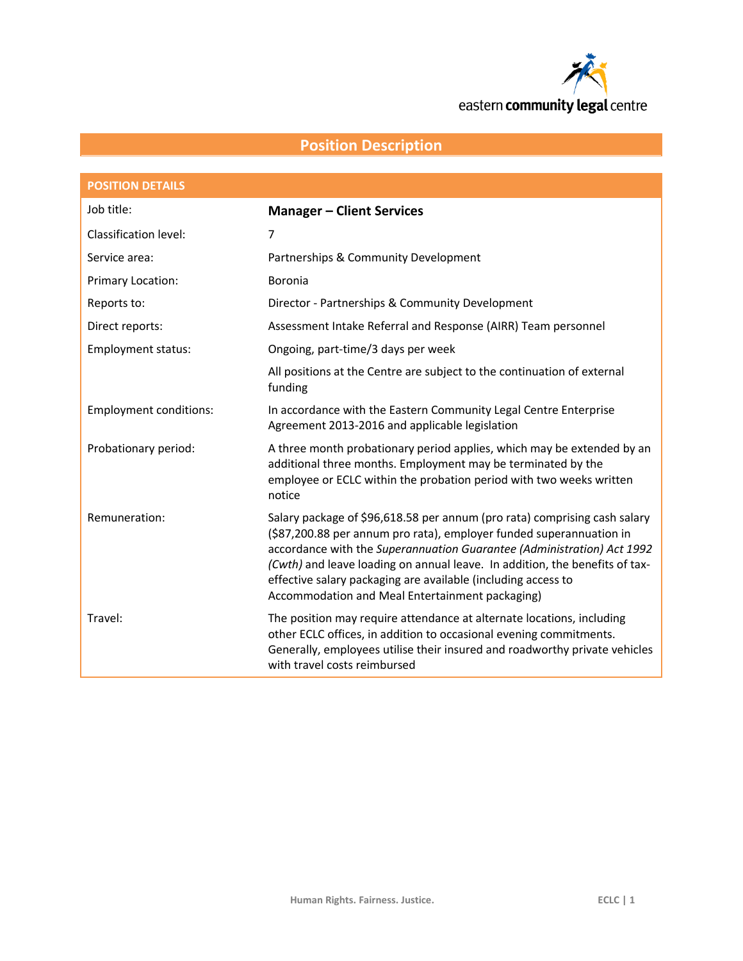

# **Position Description**

| <b>POSITION DETAILS</b>       |                                                                                                                                                                                                                                                                                                                                                                                                                               |
|-------------------------------|-------------------------------------------------------------------------------------------------------------------------------------------------------------------------------------------------------------------------------------------------------------------------------------------------------------------------------------------------------------------------------------------------------------------------------|
| Job title:                    | <b>Manager - Client Services</b>                                                                                                                                                                                                                                                                                                                                                                                              |
| Classification level:         | $\overline{7}$                                                                                                                                                                                                                                                                                                                                                                                                                |
| Service area:                 | Partnerships & Community Development                                                                                                                                                                                                                                                                                                                                                                                          |
| Primary Location:             | Boronia                                                                                                                                                                                                                                                                                                                                                                                                                       |
| Reports to:                   | Director - Partnerships & Community Development                                                                                                                                                                                                                                                                                                                                                                               |
| Direct reports:               | Assessment Intake Referral and Response (AIRR) Team personnel                                                                                                                                                                                                                                                                                                                                                                 |
| Employment status:            | Ongoing, part-time/3 days per week                                                                                                                                                                                                                                                                                                                                                                                            |
|                               | All positions at the Centre are subject to the continuation of external<br>funding                                                                                                                                                                                                                                                                                                                                            |
| <b>Employment conditions:</b> | In accordance with the Eastern Community Legal Centre Enterprise<br>Agreement 2013-2016 and applicable legislation                                                                                                                                                                                                                                                                                                            |
| Probationary period:          | A three month probationary period applies, which may be extended by an<br>additional three months. Employment may be terminated by the<br>employee or ECLC within the probation period with two weeks written<br>notice                                                                                                                                                                                                       |
| Remuneration:                 | Salary package of \$96,618.58 per annum (pro rata) comprising cash salary<br>(\$87,200.88 per annum pro rata), employer funded superannuation in<br>accordance with the Superannuation Guarantee (Administration) Act 1992<br>(Cwth) and leave loading on annual leave. In addition, the benefits of tax-<br>effective salary packaging are available (including access to<br>Accommodation and Meal Entertainment packaging) |
| Travel:                       | The position may require attendance at alternate locations, including<br>other ECLC offices, in addition to occasional evening commitments.<br>Generally, employees utilise their insured and roadworthy private vehicles<br>with travel costs reimbursed                                                                                                                                                                     |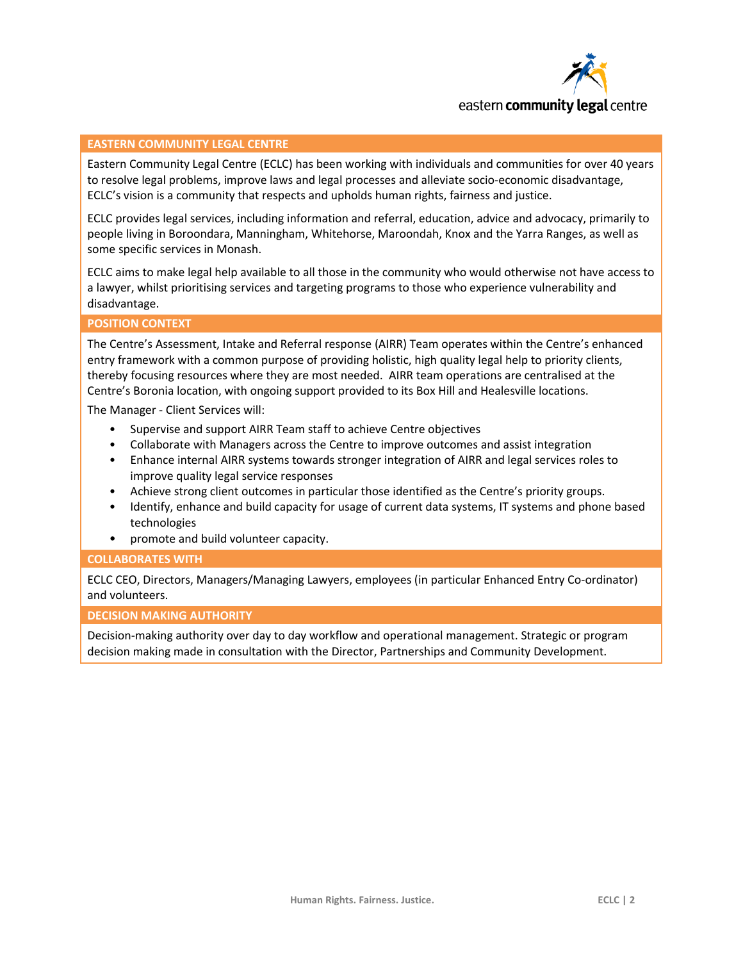

#### **EASTERN COMMUNITY LEGAL CENTRE**

Eastern Community Legal Centre (ECLC) has been working with individuals and communities for over 40 years to resolve legal problems, improve laws and legal processes and alleviate socio-economic disadvantage, ECLC's vision is a community that respects and upholds human rights, fairness and justice.

ECLC provides legal services, including information and referral, education, advice and advocacy, primarily to people living in Boroondara, Manningham, Whitehorse, Maroondah, Knox and the Yarra Ranges, as well as some specific services in Monash.

ECLC aims to make legal help available to all those in the community who would otherwise not have access to a lawyer, whilst prioritising services and targeting programs to those who experience vulnerability and disadvantage.

#### **POSITION CONTEXT**

The Centre's Assessment, Intake and Referral response (AIRR) Team operates within the Centre's enhanced entry framework with a common purpose of providing holistic, high quality legal help to priority clients, thereby focusing resources where they are most needed. AIRR team operations are centralised at the Centre's Boronia location, with ongoing support provided to its Box Hill and Healesville locations.

The Manager - Client Services will:

- Supervise and support AIRR Team staff to achieve Centre objectives
- Collaborate with Managers across the Centre to improve outcomes and assist integration
- Enhance internal AIRR systems towards stronger integration of AIRR and legal services roles to improve quality legal service responses
- Achieve strong client outcomes in particular those identified as the Centre's priority groups.
- Identify, enhance and build capacity for usage of current data systems, IT systems and phone based technologies
- promote and build volunteer capacity.

#### **COLLABORATES WITH**

ECLC CEO, Directors, Managers/Managing Lawyers, employees (in particular Enhanced Entry Co-ordinator) and volunteers.

#### **DECISION MAKING AUTHORITY**

Decision-making authority over day to day workflow and operational management. Strategic or program decision making made in consultation with the Director, Partnerships and Community Development.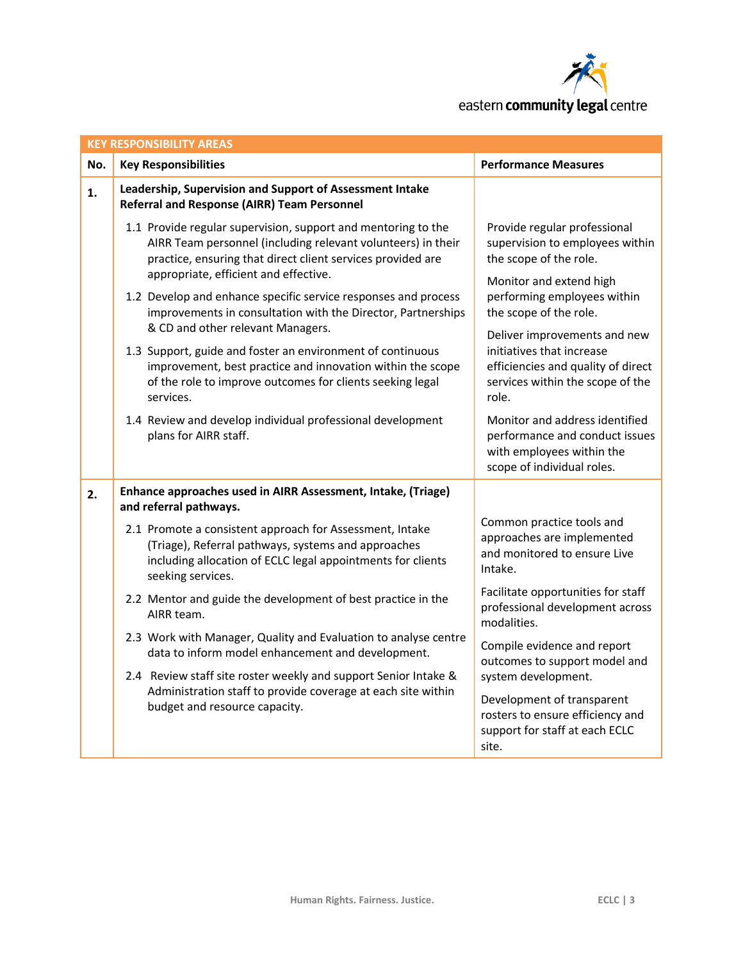

| <b>KEY RESPONSIBILITY AREAS</b> |                                                                                                                                                                                                                                       |                                                                                                                                              |  |  |  |
|---------------------------------|---------------------------------------------------------------------------------------------------------------------------------------------------------------------------------------------------------------------------------------|----------------------------------------------------------------------------------------------------------------------------------------------|--|--|--|
| No.                             | <b>Key Responsibilities</b>                                                                                                                                                                                                           | <b>Performance Measures</b>                                                                                                                  |  |  |  |
| 1.                              | Leadership, Supervision and Support of Assessment Intake<br><b>Referral and Response (AIRR) Team Personnel</b>                                                                                                                        |                                                                                                                                              |  |  |  |
|                                 | 1.1 Provide regular supervision, support and mentoring to the<br>AIRR Team personnel (including relevant volunteers) in their<br>practice, ensuring that direct client services provided are<br>appropriate, efficient and effective. | Provide regular professional<br>supervision to employees within<br>the scope of the role.<br>Monitor and extend high                         |  |  |  |
|                                 | 1.2 Develop and enhance specific service responses and process<br>improvements in consultation with the Director, Partnerships<br>& CD and other relevant Managers.                                                                   | performing employees within<br>the scope of the role.                                                                                        |  |  |  |
|                                 | 1.3 Support, guide and foster an environment of continuous<br>improvement, best practice and innovation within the scope<br>of the role to improve outcomes for clients seeking legal<br>services.                                    | Deliver improvements and new<br>initiatives that increase<br>efficiencies and quality of direct<br>services within the scope of the<br>role. |  |  |  |
|                                 | 1.4 Review and develop individual professional development<br>plans for AIRR staff.                                                                                                                                                   | Monitor and address identified<br>performance and conduct issues<br>with employees within the<br>scope of individual roles.                  |  |  |  |
| 2.                              | Enhance approaches used in AIRR Assessment, Intake, (Triage)<br>and referral pathways.                                                                                                                                                |                                                                                                                                              |  |  |  |
|                                 | 2.1 Promote a consistent approach for Assessment, Intake<br>(Triage), Referral pathways, systems and approaches<br>including allocation of ECLC legal appointments for clients<br>seeking services.                                   | Common practice tools and<br>approaches are implemented<br>and monitored to ensure Live<br>Intake.                                           |  |  |  |
|                                 | 2.2 Mentor and guide the development of best practice in the<br>AIRR team.                                                                                                                                                            | Facilitate opportunities for staff<br>professional development across<br>modalities.                                                         |  |  |  |
|                                 | 2.3 Work with Manager, Quality and Evaluation to analyse centre<br>data to inform model enhancement and development.<br>2.4 Review staff site roster weekly and support Senior Intake &                                               | Compile evidence and report<br>outcomes to support model and<br>system development.                                                          |  |  |  |
|                                 | Administration staff to provide coverage at each site within<br>budget and resource capacity.                                                                                                                                         | Development of transparent<br>rosters to ensure efficiency and<br>support for staff at each ECLC<br>site.                                    |  |  |  |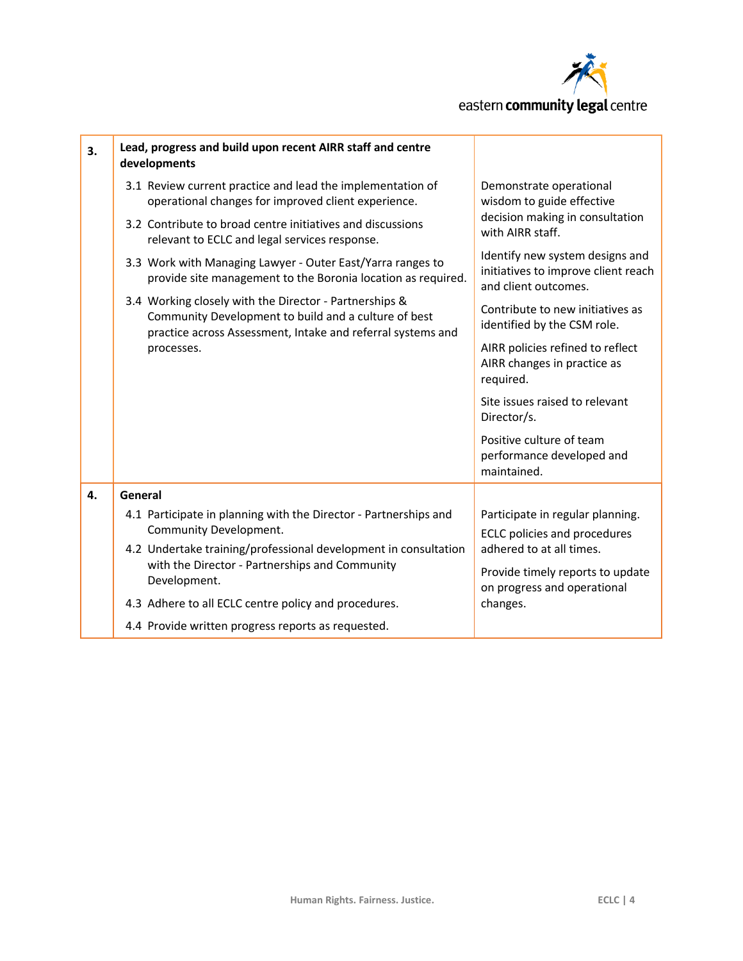

| 3. | Lead, progress and build upon recent AIRR staff and centre<br>developments                                                                                                    |                                                                                                             |
|----|-------------------------------------------------------------------------------------------------------------------------------------------------------------------------------|-------------------------------------------------------------------------------------------------------------|
|    | 3.1 Review current practice and lead the implementation of<br>operational changes for improved client experience.                                                             | Demonstrate operational<br>wisdom to guide effective<br>decision making in consultation<br>with AIRR staff. |
|    | 3.2 Contribute to broad centre initiatives and discussions<br>relevant to ECLC and legal services response.                                                                   |                                                                                                             |
|    | 3.3 Work with Managing Lawyer - Outer East/Yarra ranges to<br>provide site management to the Boronia location as required.                                                    | Identify new system designs and<br>initiatives to improve client reach<br>and client outcomes.              |
|    | 3.4 Working closely with the Director - Partnerships &<br>Community Development to build and a culture of best<br>practice across Assessment, Intake and referral systems and | Contribute to new initiatives as<br>identified by the CSM role.                                             |
|    | processes.                                                                                                                                                                    | AIRR policies refined to reflect<br>AIRR changes in practice as<br>required.                                |
|    |                                                                                                                                                                               | Site issues raised to relevant<br>Director/s.                                                               |
|    |                                                                                                                                                                               | Positive culture of team<br>performance developed and<br>maintained.                                        |
| 4. | General                                                                                                                                                                       |                                                                                                             |
|    | 4.1 Participate in planning with the Director - Partnerships and<br>Community Development.                                                                                    | Participate in regular planning.<br><b>ECLC</b> policies and procedures                                     |
|    | 4.2 Undertake training/professional development in consultation<br>with the Director - Partnerships and Community<br>Development.                                             | adhered to at all times.                                                                                    |
|    |                                                                                                                                                                               | Provide timely reports to update<br>on progress and operational                                             |
|    | 4.3 Adhere to all ECLC centre policy and procedures.                                                                                                                          | changes.                                                                                                    |
|    | 4.4 Provide written progress reports as requested.                                                                                                                            |                                                                                                             |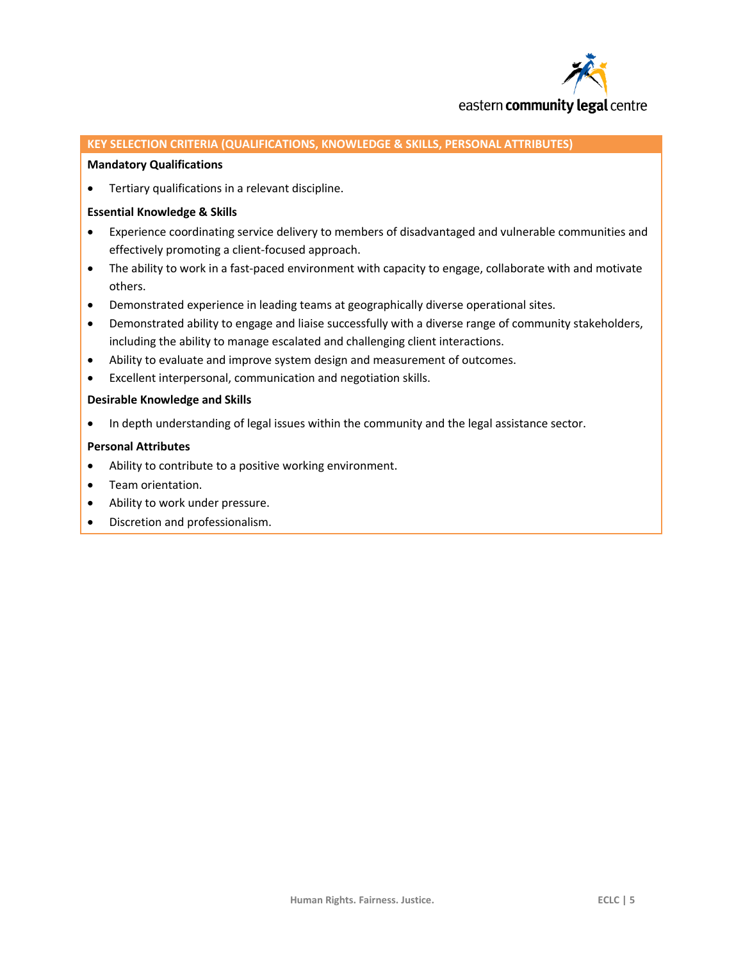

#### **KEY SELECTION CRITERIA (QUALIFICATIONS, KNOWLEDGE & SKILLS, PERSONAL ATTRIBUTES)**

#### **Mandatory Qualifications**

Tertiary qualifications in a relevant discipline.

#### **Essential Knowledge & Skills**

- Experience coordinating service delivery to members of disadvantaged and vulnerable communities and effectively promoting a client-focused approach.
- The ability to work in a fast-paced environment with capacity to engage, collaborate with and motivate others.
- Demonstrated experience in leading teams at geographically diverse operational sites.
- Demonstrated ability to engage and liaise successfully with a diverse range of community stakeholders, including the ability to manage escalated and challenging client interactions.
- Ability to evaluate and improve system design and measurement of outcomes.
- Excellent interpersonal, communication and negotiation skills.

#### **Desirable Knowledge and Skills**

• In depth understanding of legal issues within the community and the legal assistance sector.

#### **Personal Attributes**

- Ability to contribute to a positive working environment.
- Team orientation.
- Ability to work under pressure.
- Discretion and professionalism.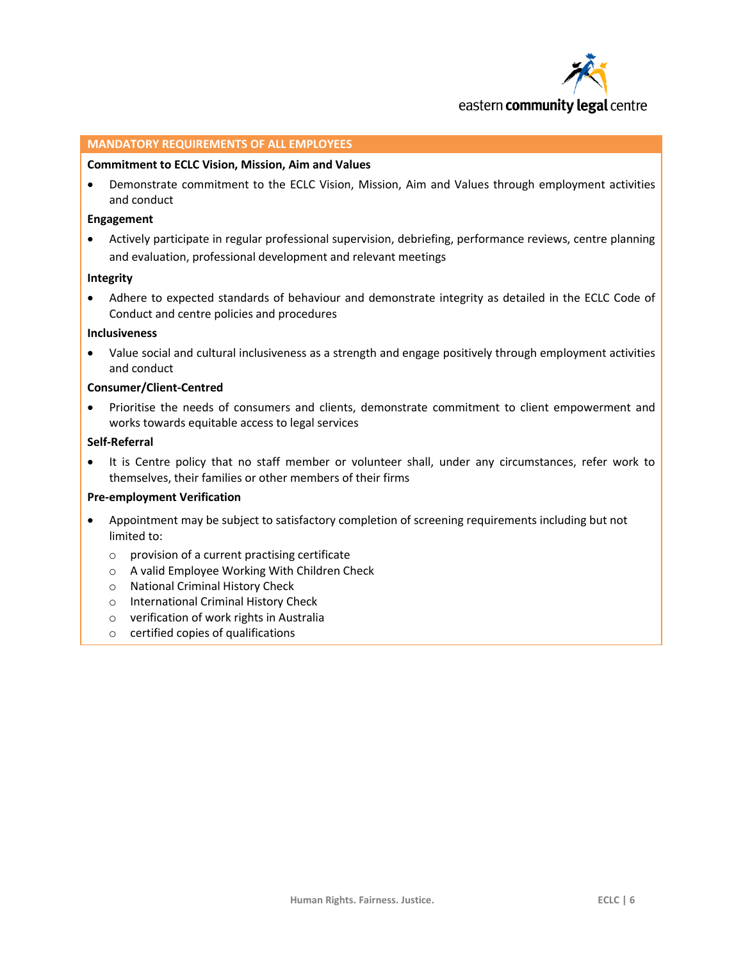

#### **MANDATORY REQUIREMENTS OF ALL EMPLOYEES**

#### **Commitment to ECLC Vision, Mission, Aim and Values**

 Demonstrate commitment to the ECLC Vision, Mission, Aim and Values through employment activities and conduct

#### **Engagement**

 Actively participate in regular professional supervision, debriefing, performance reviews, centre planning and evaluation, professional development and relevant meetings

#### **Integrity**

 Adhere to expected standards of behaviour and demonstrate integrity as detailed in the ECLC Code of Conduct and centre policies and procedures

#### **Inclusiveness**

 Value social and cultural inclusiveness as a strength and engage positively through employment activities and conduct

#### **Consumer/Client-Centred**

• Prioritise the needs of consumers and clients, demonstrate commitment to client empowerment and works towards equitable access to legal services

#### **Self-Referral**

 It is Centre policy that no staff member or volunteer shall, under any circumstances, refer work to themselves, their families or other members of their firms

#### **Pre-employment Verification**

- Appointment may be subject to satisfactory completion of screening requirements including but not limited to:
	- o provision of a current practising certificate
	- o A valid Employee Working With Children Check
	- o National Criminal History Check
	- o International Criminal History Check
	- o verification of work rights in Australia
	- o certified copies of qualifications